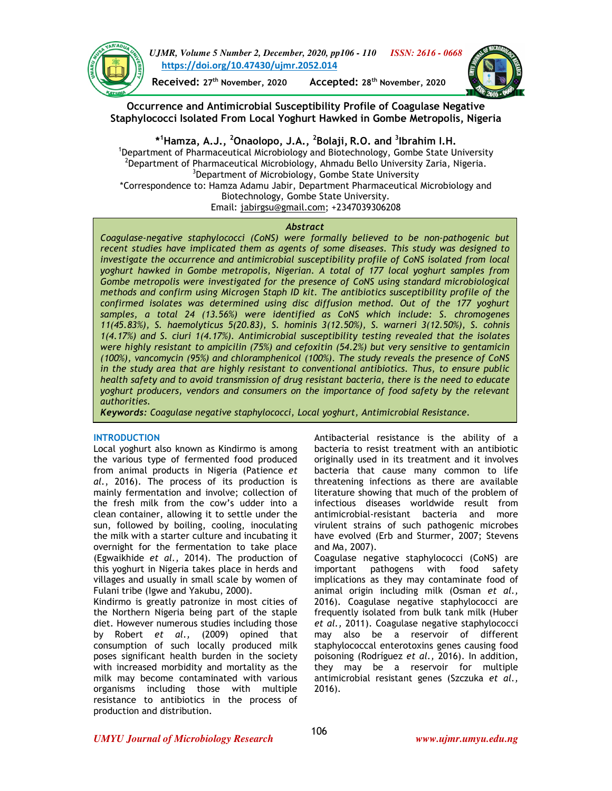

*UJMR, Volume 5 Number 2, December, 2020, pp106 - 110 ISSN: 2616 - 0668* **https://doi.org/10.47430/ujmr.2052.014**

**Received: 27th November, 2020 Accepted: 28th November, 2020**



**Occurrence and Antimicrobial Susceptibility Profile of Coagulase Negative Staphylococci Isolated From Local Yoghurt Hawked in Gombe Metropolis, Nigeria** 

**\* <sup>1</sup>Hamza, A.J., <sup>2</sup>Onaolopo, J.A., <sup>2</sup> Bolaji, R.O. and <sup>3</sup> Ibrahim I.H.** <sup>1</sup>Department of Pharmaceutical Microbiology and Biotechnology, Gombe State University <sup>2</sup>Department of Pharmaceutical Microbiology, Ahmadu Bello University Zaria, Nigeria. <sup>3</sup>Department of Microbiology, Gombe State University \*Correspondence to: Hamza Adamu Jabir, Department Pharmaceutical Microbiology and Biotechnology, Gombe State University. Email: jabirgsu@gmail.com; +2347039306208

## *Abstract*

*Coagulase-negative staphylococci (CoNS) were formally believed to be non-pathogenic but recent studies have implicated them as agents of some diseases. This study was designed to investigate the occurrence and antimicrobial susceptibility profile of CoNS isolated from local yoghurt hawked in Gombe metropolis, Nigerian. A total of 177 local yoghurt samples from Gombe metropolis were investigated for the presence of CoNS using standard microbiological methods and confirm using Microgen Staph ID kit. The antibiotics susceptibility profile of the confirmed isolates was determined using disc diffusion method. Out of the 177 yoghurt samples, a total 24 (13.56%) were identified as CoNS which include: S. chromogenes 11(45.83%), S. haemolyticus 5(20.83), S. hominis 3(12.50%), S. warneri 3(12.50%), S. cohnis 1(4.17%) and S. ciuri 1(4.17%). Antimicrobial susceptibility testing revealed that the isolates were highly resistant to ampicilin (75%) and cefoxitin (54.2%) but very sensitive to gentamicin (100%), vancomycin (95%) and chloramphenicol (100%). The study reveals the presence of CoNS in the study area that are highly resistant to conventional antibiotics. Thus, to ensure public health safety and to avoid transmission of drug resistant bacteria, there is the need to educate yoghurt producers, vendors and consumers on the importance of food safety by the relevant authorities.* 

*Keywords: Coagulase negative staphylococci, Local yoghurt, Antimicrobial Resistance.*

## **INTRODUCTION**

Local yoghurt also known as Kindirmo is among the various type of fermented food produced from animal products in Nigeria (Patience *et al.*, 2016). The process of its production is mainly fermentation and involve; collection of the fresh milk from the cow's udder into a clean container, allowing it to settle under the sun, followed by boiling, cooling, inoculating the milk with a starter culture and incubating it overnight for the fermentation to take place (Egwaikhide *et al.,* 2014). The production of this yoghurt in Nigeria takes place in herds and villages and usually in small scale by women of Fulani tribe (Igwe and Yakubu, 2000).

Kindirmo is greatly patronize in most cities of the Northern Nigeria being part of the staple diet. However numerous studies including those by Robert *et al.,* (2009) opined that consumption of such locally produced milk poses significant health burden in the society with increased morbidity and mortality as the milk may become contaminated with various organisms including those with multiple resistance to antibiotics in the process of production and distribution.

Antibacterial resistance is the ability of a bacteria to resist treatment with an antibiotic originally used in its treatment and it involves bacteria that cause many common to life threatening infections as there are available literature showing that much of the problem of infectious diseases worldwide result from antimicrobial-resistant bacteria and more virulent strains of such pathogenic microbes have evolved (Erb and Sturmer, 2007; Stevens and Ma, 2007).

Coagulase negative staphylococci (CoNS) are important pathogens with food safety implications as they may contaminate food of animal origin including milk (Osman *et al.,*  2016). Coagulase negative staphylococci are frequently isolated from bulk tank milk (Huber *et al.,* 2011). Coagulase negative staphylococci may also be a reservoir of different staphylococcal enterotoxins genes causing food poisoning (Rodríguez *et al.,* 2016). In addition, they may be a reservoir for multiple antimicrobial resistant genes (Szczuka *et al.,*  2016).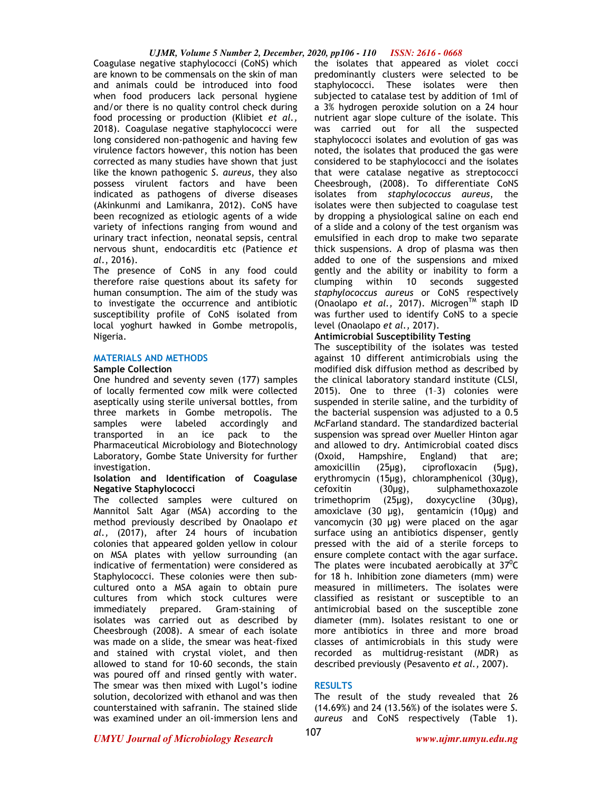### *UJMR, Volume 5 Number 2, December, 2020, pp106 - 110 ISSN: 2616 - 0668*

Coagulase negative staphylococci (CoNS) which are known to be commensals on the skin of man and animals could be introduced into food when food producers lack personal hygiene and/or there is no quality control check during food processing or production (Klibiet *et al.,* 2018). Coagulase negative staphylococci were long considered non-pathogenic and having few virulence factors however, this notion has been corrected as many studies have shown that just like the known pathogenic *S. aureus*, they also possess virulent factors and have been indicated as pathogens of diverse diseases (Akinkunmi and Lamikanra, 2012). CoNS have been recognized as etiologic agents of a wide variety of infections ranging from wound and urinary tract infection, neonatal sepsis, central nervous shunt, endocarditis etc (Patience *et al.*, 2016).

The presence of CoNS in any food could therefore raise questions about its safety for human consumption. The aim of the study was to investigate the occurrence and antibiotic susceptibility profile of CoNS isolated from local yoghurt hawked in Gombe metropolis, Nigeria.

## **MATERIALS AND METHODS**

## **Sample Collection**

One hundred and seventy seven (177) samples of locally fermented cow milk were collected aseptically using sterile universal bottles, from three markets in Gombe metropolis. The samples were labeled accordingly and transported in an ice pack to the Pharmaceutical Microbiology and Biotechnology Laboratory, Gombe State University for further investigation.

## **Isolation and Identification of Coagulase Negative Staphylococci**

The collected samples were cultured on Mannitol Salt Agar (MSA) according to the method previously described by Onaolapo *et al.,* (2017), after 24 hours of incubation colonies that appeared golden yellow in colour on MSA plates with yellow surrounding (an indicative of fermentation) were considered as Staphylococci. These colonies were then subcultured onto a MSA again to obtain pure cultures from which stock cultures were immediately prepared. Gram-staining of isolates was carried out as described by Cheesbrough (2008). A smear of each isolate was made on a slide, the smear was heat-fixed and stained with crystal violet, and then allowed to stand for 10-60 seconds, the stain was poured off and rinsed gently with water. The smear was then mixed with Lugol's iodine solution, decolorized with ethanol and was then counterstained with safranin. The stained slide was examined under an oil-immersion lens and

the isolates that appeared as violet cocci predominantly clusters were selected to be staphylococci. These isolates were then subjected to catalase test by addition of 1ml of a 3% hydrogen peroxide solution on a 24 hour nutrient agar slope culture of the isolate. This was carried out for all the suspected staphylococci isolates and evolution of gas was noted, the isolates that produced the gas were considered to be staphylococci and the isolates that were catalase negative as streptococci Cheesbrough, (2008). To differentiate CoNS isolates from *staphylococcus aureus*, the isolates were then subjected to coagulase test by dropping a physiological saline on each end of a slide and a colony of the test organism was emulsified in each drop to make two separate thick suspensions. A drop of plasma was then added to one of the suspensions and mixed gently and the ability or inability to form a clumping within 10 seconds suggested *staphylococcus aureus* or CoNS respectively (Onaolapo *et al.*, 2017). Microgen™ staph ID was further used to identify CoNS to a specie level (Onaolapo *et al.,* 2017).

# **Antimicrobial Susceptibility Testing**

The susceptibility of the isolates was tested against 10 different antimicrobials using the modified disk diffusion method as described by the clinical laboratory standard institute (CLSI, 2015). One to three (1–3) colonies were suspended in sterile saline, and the turbidity of the bacterial suspension was adjusted to a 0.5 McFarland standard. The standardized bacterial suspension was spread over Mueller Hinton agar and allowed to dry. Antimicrobial coated discs (Oxoid, Hampshire, England) that are; amoxicillin (25µg), ciprofloxacin (5µg), erythromycin (15µg), chloramphenicol (30µg),  $c$ efoxitin  $(30\mu g)$ , sulphamethoxazole trimethoprim (25µg), doxycycline (30µg), amoxiclave (30 µg), gentamicin (10µg) and vancomycin (30 µg) were placed on the agar surface using an antibiotics dispenser, gently pressed with the aid of a sterile forceps to ensure complete contact with the agar surface. The plates were incubated aerobically at  $37^{\circ}$ C for 18 h. Inhibition zone diameters (mm) were measured in millimeters. The isolates were classified as resistant or susceptible to an antimicrobial based on the susceptible zone diameter (mm). Isolates resistant to one or more antibiotics in three and more broad classes of antimicrobials in this study were recorded as multidrug-resistant (MDR) as described previously (Pesavento *et al.,* 2007).

# **RESULTS**

The result of the study revealed that 26 (14.69%) and 24 (13.56%) of the isolates were *S. aureus* and CoNS respectively (Table 1).

*UMYU Journal of Microbiology Research www.ujmr.umyu.edu.ng*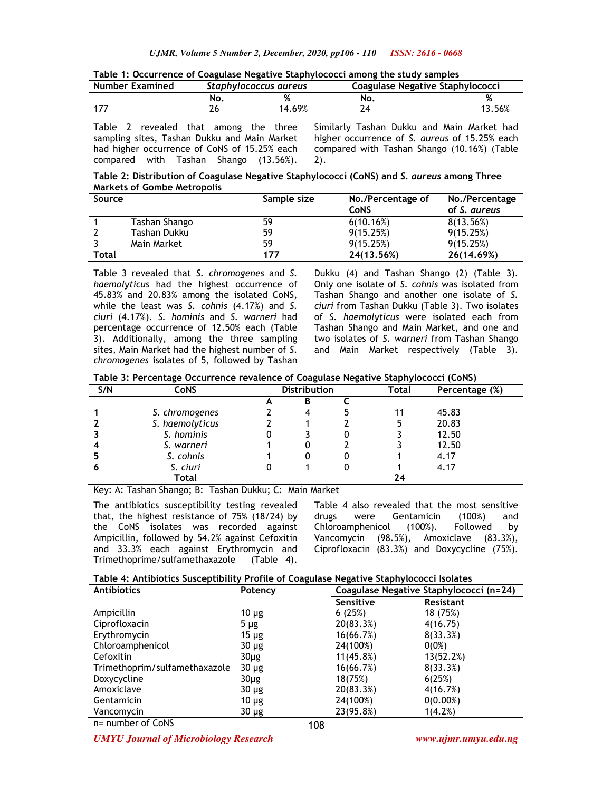| <b>Number Examined</b> |  |                               |  | Staphylococcus aureus |  |        | Coagulase Negative Staphylococci           |     |  |  |        |  |
|------------------------|--|-------------------------------|--|-----------------------|--|--------|--------------------------------------------|-----|--|--|--------|--|
|                        |  |                               |  | NO.                   |  |        |                                            | No. |  |  |        |  |
| -177                   |  |                               |  |                       |  | 14.69% |                                            |     |  |  | 13.56% |  |
| <b>Tablo</b>           |  | royoslod that among the thron |  |                       |  |        | Similarly Tachan Dukku and Main Markot had |     |  |  |        |  |

**Table 1: Occurrence of Coagulase Negative Staphylococci among the study samples** 

Table 2 revealed that among the three sampling sites, Tashan Dukku and Main Market had higher occurrence of CoNS of 15.25% each compared with Tashan Shango (13.56%).

Similarly Tashan Dukku and Main Market had higher occurrence of *S. aureus* of 15.25% each compared with Tashan Shango (10.16%) (Table 2).

**Table 2: Distribution of Coagulase Negative Staphylococci (CoNS) and** *S. aureus* **among Three Markets of Gombe Metropolis**

| Source |               | Sample size | No./Percentage of | No./Percentage |  |
|--------|---------------|-------------|-------------------|----------------|--|
|        |               |             | <b>CoNS</b>       | of S. aureus   |  |
|        | Tashan Shango | 59          | 6(10.16%)         | 8(13.56%)      |  |
|        | Tashan Dukku  | 59          | 9(15.25%)         | 9(15.25%)      |  |
|        | Main Market   | 59          | 9(15.25%)         | 9(15.25%)      |  |
| Total  |               | 177         | 24(13.56%)        | 26(14.69%)     |  |

Table 3 revealed that *S. chromogenes* and *S. haemolyticus* had the highest occurrence of 45.83% and 20.83% among the isolated CoNS, while the least was *S. cohnis* (4.17%) and *S. ciuri* (4.17%). *S. hominis* and *S. warneri* had percentage occurrence of 12.50% each (Table 3). Additionally, among the three sampling sites, Main Market had the highest number of *S. chromogenes* isolates of 5, followed by Tashan

Dukku (4) and Tashan Shango (2) (Table 3). Only one isolate of *S. cohnis* was isolated from Tashan Shango and another one isolate of *S. ciuri* from Tashan Dukku (Table 3). Two isolates of *S. haemolyticus* were isolated each from Tashan Shango and Main Market, and one and two isolates of *S. warneri* from Tashan Shango and Main Market respectively (Table 3).

**Table 3: Percentage Occurrence revalence of Coagulase Negative Staphylococci (CoNS)** 

| S/N | <b>CoNS</b>     | <b>Distribution</b> |   |   | Total | Percentage (%) |
|-----|-----------------|---------------------|---|---|-------|----------------|
|     |                 | A                   | В |   |       |                |
|     | S. chromogenes  |                     | 4 | 5 | 11    | 45.83          |
|     | S. haemolyticus |                     |   |   | 5     | 20.83          |
|     | S. hominis      |                     |   |   |       | 12.50          |
|     | S. warneri      |                     |   |   |       | 12.50          |
|     | S. cohnis       |                     |   |   |       | 4.17           |
|     | S. ciuri        |                     |   |   |       | 4.17           |
|     | Total           |                     |   |   | 24    |                |

Key: A: Tashan Shango; B: Tashan Dukku; C: Main Market

The antibiotics susceptibility testing revealed that, the highest resistance of 75% (18/24) by the CoNS isolates was recorded against Ampicillin, followed by 54.2% against Cefoxitin and 33.3% each against Erythromycin and Trimethoprime/sulfamethaxazole (Table 4).

Table 4 also revealed that the most sensitive drugs were Gentamicin (100%) and Chloroamphenicol (100%). Followed by Vancomycin (98.5%), Amoxiclave (83.3%), Ciprofloxacin (83.3%) and Doxycycline (75%).

|  |  |  |  | Table 4: Antibiotics Susceptibility Profile of Coagulase Negative Staphylococci Isolates |
|--|--|--|--|------------------------------------------------------------------------------------------|
|--|--|--|--|------------------------------------------------------------------------------------------|

| <b>Antibiotics</b>            | Potency    |  | Coagulase Negative Staphylococci (n=24) |  |                  |  |
|-------------------------------|------------|--|-----------------------------------------|--|------------------|--|
|                               |            |  | Sensitive                               |  | <b>Resistant</b> |  |
| Ampicillin                    | $10 \mu$ g |  | 6(25%)                                  |  | 18 (75%)         |  |
| Ciprofloxacin                 | $5 \mu$ g  |  | 20(83.3%)                               |  | 4(16.75)         |  |
| Erythromycin                  | $15 \mu$ g |  | 16(66.7%)                               |  | 8(33.3%)         |  |
| Chloroamphenicol              | $30 \mu g$ |  | 24(100%)                                |  | $0(0\%)$         |  |
| Cefoxitin                     | $30\mug$   |  | 11(45.8%)                               |  | 13(52.2%)        |  |
| Trimethoprim/sulfamethaxazole | $30 \mu g$ |  | 16(66.7%)                               |  | 8(33.3%)         |  |
| Doxycycline                   | $30\mug$   |  | 18(75%)                                 |  | 6(25%)           |  |
| Amoxiclave                    | $30 \mu g$ |  | 20(83.3%)                               |  | 4(16.7%)         |  |
| Gentamicin                    | $10 \mu$ g |  | 24(100%)                                |  | $0(0.00\%)$      |  |
| Vancomycin                    | $30 \mu g$ |  | 23(95.8%)                               |  | 1(4.2%)          |  |

n= number of CoNS

*UMYU Journal of Microbiology Research www.ujmr.umyu.edu.ng*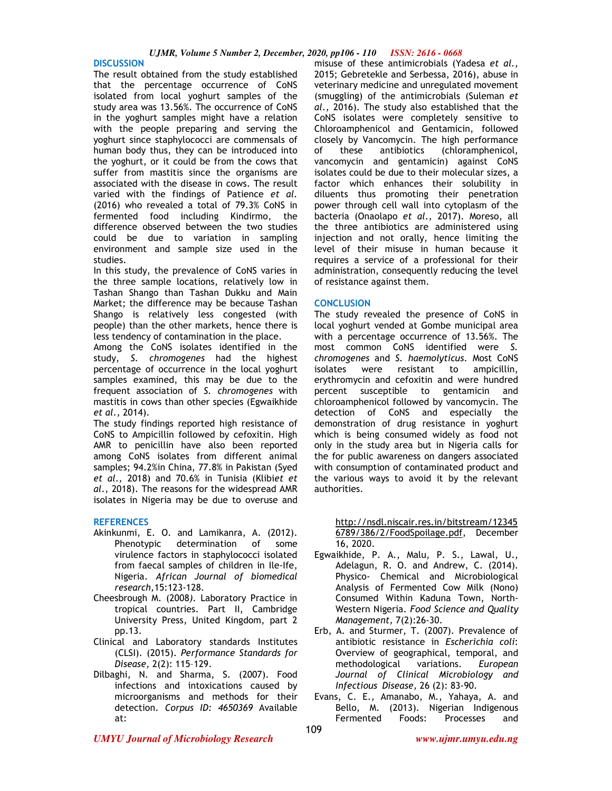#### **DISCUSSION**

The result obtained from the study established that the percentage occurrence of CoNS isolated from local yoghurt samples of the study area was 13.56%. The occurrence of CoNS in the yoghurt samples might have a relation with the people preparing and serving the yoghurt since staphylococci are commensals of human body thus, they can be introduced into the yoghurt, or it could be from the cows that suffer from mastitis since the organisms are associated with the disease in cows. The result varied with the findings of Patience *et al.* (2016) who revealed a total of 79.3% CoNS in fermented food including Kindirmo, the difference observed between the two studies could be due to variation in sampling environment and sample size used in the studies.

In this study, the prevalence of CoNS varies in the three sample locations, relatively low in Tashan Shango than Tashan Dukku and Main Market; the difference may be because Tashan Shango is relatively less congested (with people) than the other markets, hence there is less tendency of contamination in the place.

Among the CoNS isolates identified in the study, *S. chromogenes* had the highest percentage of occurrence in the local yoghurt samples examined, this may be due to the frequent association of *S. chromogenes* with mastitis in cows than other species (Egwaikhide *et al.,* 2014).

The study findings reported high resistance of CoNS to Ampicillin followed by cefoxitin. High AMR to penicillin have also been reported among CoNS isolates from different animal samples; 94.2%in China, 77.8% in Pakistan (Syed *et al.,* 2018) and 70.6% in Tunisia (Klibi*et et al.,* 2018). The reasons for the widespread AMR isolates in Nigeria may be due to overuse and

## **REFERENCES**

- Akinkunmi, E. O. and Lamikanra, A. (2012). Phenotypic determination of some virulence factors in staphylococci isolated from faecal samples of children in Ile-Ife, Nigeria. *African Journal of biomedical research,*15:123-128.
- Cheesbrough M. (2008*).* Laboratory Practice in tropical countries. Part II, Cambridge University Press, United Kingdom, part 2 pp.13.
- Clinical and Laboratory standards Institutes (CLSI). (2015). *Performance Standards for Disease,* 2(2): 115–129.
- Dilbaghi, N. and Sharma, S. (2007). Food infections and intoxications caused by microorganisms and methods for their detection. *Corpus ID: 4650369* Available at:

misuse of these antimicrobials (Yadesa *et al.,* 2015; Gebretekle and Serbessa, 2016), abuse in veterinary medicine and unregulated movement (smuggling) of the antimicrobials (Suleman *et al.,* 2016). The study also established that the CoNS isolates were completely sensitive to Chloroamphenicol and Gentamicin, followed closely by Vancomycin. The high performance of these antibiotics (chloramphenicol, vancomycin and gentamicin) against CoNS isolates could be due to their molecular sizes, a factor which enhances their solubility in diluents thus promoting their penetration power through cell wall into cytoplasm of the bacteria (Onaolapo *et al.,* 2017). Moreso, all the three antibiotics are administered using injection and not orally, hence limiting the level of their misuse in human because it requires a service of a professional for their administration, consequently reducing the level of resistance against them.

### **CONCLUSION**

The study revealed the presence of CoNS in local yoghurt vended at Gombe municipal area with a percentage occurrence of 13.56%. The most common CoNS identified were *S. chromogenes* and *S. haemolyticus.* Most CoNS isolates were resistant to ampicillin, erythromycin and cefoxitin and were hundred percent susceptible to gentamicin and chloroamphenicol followed by vancomycin. The detection of CoNS and especially the demonstration of drug resistance in yoghurt which is being consumed widely as food not only in the study area but in Nigeria calls for the for public awareness on dangers associated with consumption of contaminated product and the various ways to avoid it by the relevant authorities.

http://nsdl.niscair.res.in/bitstream/12345 6789/386/2/FoodSpoilage.pdf, December 16, 2020.

- Egwaikhide, P. A., Malu, P. S., Lawal, U., Adelagun, R. O. and Andrew, C. (2014). Physico- Chemical and Microbiological Analysis of Fermented Cow Milk (Nono) Consumed Within Kaduna Town, North-Western Nigeria. *Food Science and Quality Management,* 7(2):26-30.
- Erb, A. and Sturmer, T. (2007). Prevalence of antibiotic resistance in *Escherichia coli*: Overview of geographical, temporal, and methodological variations. *European Journal of Clinical Microbiology and Infectious Disease,* 26 (2): 83-90.
- Evans, C. E., Amanabo, M., Yahaya, A. and Bello, M. (2013). Nigerian Indigenous Fermented Foods: Processes and